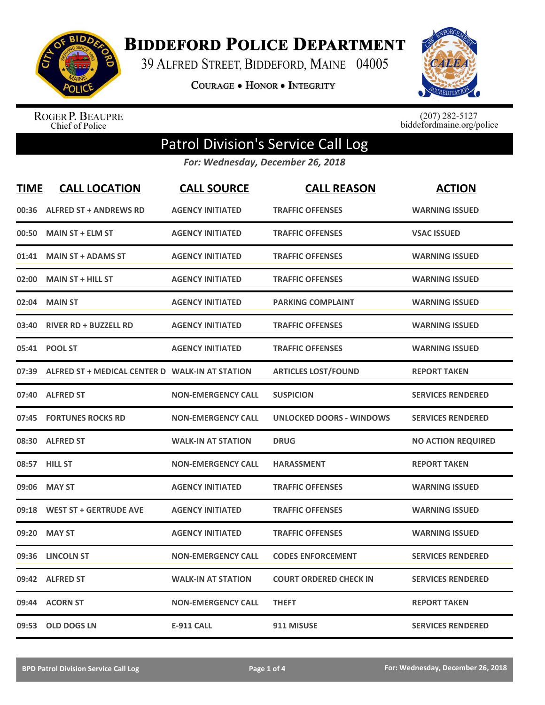

**BIDDEFORD POLICE DEPARTMENT** 

39 ALFRED STREET, BIDDEFORD, MAINE 04005

**COURAGE . HONOR . INTEGRITY** 



ROGER P. BEAUPRE<br>Chief of Police

 $(207)$  282-5127<br>biddefordmaine.org/police

## Patrol Division's Service Call Log

*For: Wednesday, December 26, 2018*

| <b>TIME</b> | <b>CALL LOCATION</b>                            | <b>CALL SOURCE</b>        | <b>CALL REASON</b>              | <b>ACTION</b>             |
|-------------|-------------------------------------------------|---------------------------|---------------------------------|---------------------------|
| 00:36       | <b>ALFRED ST + ANDREWS RD</b>                   | <b>AGENCY INITIATED</b>   | <b>TRAFFIC OFFENSES</b>         | <b>WARNING ISSUED</b>     |
| 00:50       | <b>MAIN ST + ELM ST</b>                         | <b>AGENCY INITIATED</b>   | <b>TRAFFIC OFFENSES</b>         | <b>VSAC ISSUED</b>        |
| 01:41       | <b>MAIN ST + ADAMS ST</b>                       | <b>AGENCY INITIATED</b>   | <b>TRAFFIC OFFENSES</b>         | <b>WARNING ISSUED</b>     |
| 02:00       | <b>MAIN ST + HILL ST</b>                        | <b>AGENCY INITIATED</b>   | <b>TRAFFIC OFFENSES</b>         | <b>WARNING ISSUED</b>     |
| 02:04       | <b>MAIN ST</b>                                  | <b>AGENCY INITIATED</b>   | <b>PARKING COMPLAINT</b>        | <b>WARNING ISSUED</b>     |
| 03:40       | <b>RIVER RD + BUZZELL RD</b>                    | <b>AGENCY INITIATED</b>   | <b>TRAFFIC OFFENSES</b>         | <b>WARNING ISSUED</b>     |
| 05:41       | <b>POOL ST</b>                                  | <b>AGENCY INITIATED</b>   | <b>TRAFFIC OFFENSES</b>         | <b>WARNING ISSUED</b>     |
| 07:39       | ALFRED ST + MEDICAL CENTER D WALK-IN AT STATION |                           | <b>ARTICLES LOST/FOUND</b>      | <b>REPORT TAKEN</b>       |
| 07:40       | <b>ALFRED ST</b>                                | <b>NON-EMERGENCY CALL</b> | <b>SUSPICION</b>                | <b>SERVICES RENDERED</b>  |
| 07:45       | <b>FORTUNES ROCKS RD</b>                        | <b>NON-EMERGENCY CALL</b> | <b>UNLOCKED DOORS - WINDOWS</b> | <b>SERVICES RENDERED</b>  |
| 08:30       | <b>ALFRED ST</b>                                | <b>WALK-IN AT STATION</b> | <b>DRUG</b>                     | <b>NO ACTION REQUIRED</b> |
| 08:57       | <b>HILL ST</b>                                  | <b>NON-EMERGENCY CALL</b> | <b>HARASSMENT</b>               | <b>REPORT TAKEN</b>       |
| 09:06       | <b>MAY ST</b>                                   | <b>AGENCY INITIATED</b>   | <b>TRAFFIC OFFENSES</b>         | <b>WARNING ISSUED</b>     |
| 09:18       | <b>WEST ST + GERTRUDE AVE</b>                   | <b>AGENCY INITIATED</b>   | <b>TRAFFIC OFFENSES</b>         | <b>WARNING ISSUED</b>     |
| 09:20       | <b>MAY ST</b>                                   | <b>AGENCY INITIATED</b>   | <b>TRAFFIC OFFENSES</b>         | <b>WARNING ISSUED</b>     |
| 09:36       | <b>LINCOLN ST</b>                               | <b>NON-EMERGENCY CALL</b> | <b>CODES ENFORCEMENT</b>        | <b>SERVICES RENDERED</b>  |
| 09:42       | <b>ALFRED ST</b>                                | <b>WALK-IN AT STATION</b> | <b>COURT ORDERED CHECK IN</b>   | <b>SERVICES RENDERED</b>  |
| 09:44       | <b>ACORN ST</b>                                 | <b>NON-EMERGENCY CALL</b> | <b>THEFT</b>                    | <b>REPORT TAKEN</b>       |
|             | 09:53 OLD DOGS LN                               | <b>E-911 CALL</b>         | 911 MISUSE                      | <b>SERVICES RENDERED</b>  |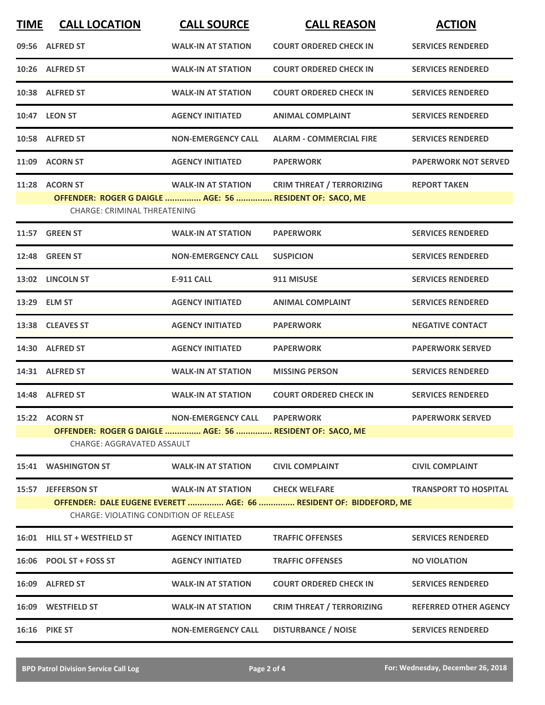| <b>TIME</b> | <b>CALL LOCATION</b>                                     | <b>CALL SOURCE</b>           | <b>CALL REASON</b>                                                 | <b>ACTION</b>                |
|-------------|----------------------------------------------------------|------------------------------|--------------------------------------------------------------------|------------------------------|
|             | 09:56 ALFRED ST                                          | <b>WALK-IN AT STATION</b>    | <b>COURT ORDERED CHECK IN</b>                                      | <b>SERVICES RENDERED</b>     |
|             | 10:26 ALFRED ST                                          | <b>WALK-IN AT STATION</b>    | <b>COURT ORDERED CHECK IN</b>                                      | <b>SERVICES RENDERED</b>     |
|             | 10:38 ALFRED ST                                          | <b>WALK-IN AT STATION</b>    | <b>COURT ORDERED CHECK IN</b>                                      | <b>SERVICES RENDERED</b>     |
|             | 10:47 LEON ST                                            | <b>AGENCY INITIATED</b>      | <b>ANIMAL COMPLAINT</b>                                            | <b>SERVICES RENDERED</b>     |
|             | 10:58 ALFRED ST                                          | <b>NON-EMERGENCY CALL</b>    | <b>ALARM - COMMERCIAL FIRE</b>                                     | <b>SERVICES RENDERED</b>     |
|             | 11:09 ACORN ST                                           | <b>AGENCY INITIATED</b>      | <b>PAPERWORK</b>                                                   | <b>PAPERWORK NOT SERVED</b>  |
|             | 11:28 ACORN ST                                           | <b>WALK-IN AT STATION</b>    | <b>CRIM THREAT / TERRORIZING</b>                                   | <b>REPORT TAKEN</b>          |
|             | OFFENDER: ROGER G DAIGLE  AGE: 56  RESIDENT OF: SACO, ME |                              |                                                                    |                              |
|             | <b>CHARGE: CRIMINAL THREATENING</b>                      |                              |                                                                    |                              |
|             | 11:57 GREEN ST                                           | <b>WALK-IN AT STATION</b>    | <b>PAPERWORK</b>                                                   | <b>SERVICES RENDERED</b>     |
|             | <b>12:48 GREEN ST</b>                                    | <b>NON-EMERGENCY CALL</b>    | <b>SUSPICION</b>                                                   | <b>SERVICES RENDERED</b>     |
|             | 13:02 LINCOLN ST                                         | <b>E-911 CALL</b>            | 911 MISUSE                                                         | <b>SERVICES RENDERED</b>     |
|             | 13:29 ELM ST                                             | <b>AGENCY INITIATED</b>      | <b>ANIMAL COMPLAINT</b>                                            | <b>SERVICES RENDERED</b>     |
|             | 13:38 CLEAVES ST                                         | <b>AGENCY INITIATED</b>      | <b>PAPERWORK</b>                                                   | <b>NEGATIVE CONTACT</b>      |
|             | 14:30 ALFRED ST                                          | <b>AGENCY INITIATED</b>      | <b>PAPERWORK</b>                                                   | <b>PAPERWORK SERVED</b>      |
|             | 14:31 ALFRED ST                                          | <b>WALK-IN AT STATION</b>    | <b>MISSING PERSON</b>                                              | <b>SERVICES RENDERED</b>     |
|             | 14:48 ALFRED ST                                          | <b>WALK-IN AT STATION</b>    | <b>COURT ORDERED CHECK IN</b>                                      | <b>SERVICES RENDERED</b>     |
|             | 15:22 ACORN ST                                           | NON-EMERGENCY CALL PAPERWORK |                                                                    | <b>PAPERWORK SERVED</b>      |
|             | OFFENDER: ROGER G DAIGLE  AGE: 56  RESIDENT OF: SACO, ME |                              |                                                                    |                              |
|             | <b>CHARGE: AGGRAVATED ASSAULT</b>                        |                              |                                                                    |                              |
|             | 15:41 WASHINGTON ST                                      | <b>WALK-IN AT STATION</b>    | <b>CIVIL COMPLAINT</b>                                             | <b>CIVIL COMPLAINT</b>       |
|             | 15:57 JEFFERSON ST                                       | <b>WALK-IN AT STATION</b>    | <b>CHECK WELFARE</b>                                               | <b>TRANSPORT TO HOSPITAL</b> |
|             | <b>CHARGE: VIOLATING CONDITION OF RELEASE</b>            |                              | OFFENDER: DALE EUGENE EVERETT  AGE: 66  RESIDENT OF: BIDDEFORD, ME |                              |
|             | 16:01 HILL ST + WESTFIELD ST                             | <b>AGENCY INITIATED</b>      | <b>TRAFFIC OFFENSES</b>                                            | <b>SERVICES RENDERED</b>     |
|             | 16:06 POOL ST + FOSS ST                                  | <b>AGENCY INITIATED</b>      | <b>TRAFFIC OFFENSES</b>                                            | <b>NO VIOLATION</b>          |
|             | 16:09 ALFRED ST                                          | <b>WALK-IN AT STATION</b>    | <b>COURT ORDERED CHECK IN</b>                                      | <b>SERVICES RENDERED</b>     |
|             | 16:09 WESTFIELD ST                                       | <b>WALK-IN AT STATION</b>    | <b>CRIM THREAT / TERRORIZING</b>                                   | <b>REFERRED OTHER AGENCY</b> |
| 16:16       | <b>PIKE ST</b>                                           | <b>NON-EMERGENCY CALL</b>    | <b>DISTURBANCE / NOISE</b>                                         | <b>SERVICES RENDERED</b>     |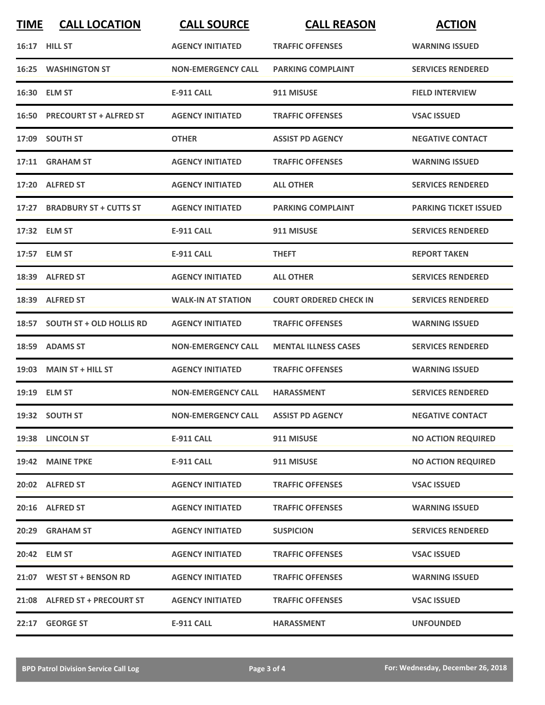| <b>TIME</b> | <b>CALL LOCATION</b>            | <b>CALL SOURCE</b>                  | <b>CALL REASON</b>            | <b>ACTION</b>                |
|-------------|---------------------------------|-------------------------------------|-------------------------------|------------------------------|
|             | <b>16:17 HILL ST</b>            | <b>AGENCY INITIATED</b>             | <b>TRAFFIC OFFENSES</b>       | <b>WARNING ISSUED</b>        |
|             | <b>16:25 WASHINGTON ST</b>      | <b>NON-EMERGENCY CALL</b>           | <b>PARKING COMPLAINT</b>      | <b>SERVICES RENDERED</b>     |
|             | 16:30 ELM ST                    | <b>E-911 CALL</b>                   | 911 MISUSE                    | <b>FIELD INTERVIEW</b>       |
|             | 16:50 PRECOURT ST + ALFRED ST   | <b>AGENCY INITIATED</b>             | <b>TRAFFIC OFFENSES</b>       | <b>VSAC ISSUED</b>           |
|             | 17:09 SOUTH ST                  | <b>OTHER</b>                        | <b>ASSIST PD AGENCY</b>       | <b>NEGATIVE CONTACT</b>      |
|             | 17:11 GRAHAM ST                 | <b>AGENCY INITIATED</b>             | <b>TRAFFIC OFFENSES</b>       | <b>WARNING ISSUED</b>        |
|             | 17:20 ALFRED ST                 | <b>AGENCY INITIATED</b>             | <b>ALL OTHER</b>              | <b>SERVICES RENDERED</b>     |
|             | 17:27 BRADBURY ST + CUTTS ST    | <b>AGENCY INITIATED</b>             | <b>PARKING COMPLAINT</b>      | <b>PARKING TICKET ISSUED</b> |
|             | 17:32 ELM ST                    | <b>E-911 CALL</b>                   | 911 MISUSE                    | <b>SERVICES RENDERED</b>     |
|             | 17:57 ELM ST                    | <b>E-911 CALL</b>                   | <b>THEFT</b>                  | <b>REPORT TAKEN</b>          |
|             | 18:39 ALFRED ST                 | <b>AGENCY INITIATED</b>             | <b>ALL OTHER</b>              | <b>SERVICES RENDERED</b>     |
|             | 18:39 ALFRED ST                 | <b>WALK-IN AT STATION</b>           | <b>COURT ORDERED CHECK IN</b> | <b>SERVICES RENDERED</b>     |
| 18:57       | <b>SOUTH ST + OLD HOLLIS RD</b> | <b>AGENCY INITIATED</b>             | <b>TRAFFIC OFFENSES</b>       | <b>WARNING ISSUED</b>        |
| 18:59       | <b>ADAMS ST</b>                 | <b>NON-EMERGENCY CALL</b>           | <b>MENTAL ILLNESS CASES</b>   | <b>SERVICES RENDERED</b>     |
|             | 19:03 MAIN ST + HILL ST         | <b>AGENCY INITIATED</b>             | <b>TRAFFIC OFFENSES</b>       | <b>WARNING ISSUED</b>        |
|             | 19:19 ELM ST                    | <b>NON-EMERGENCY CALL</b>           | <b>HARASSMENT</b>             | <b>SERVICES RENDERED</b>     |
|             | 19:32 SOUTH ST                  | NON-EMERGENCY CALL ASSIST PD AGENCY |                               | <b>NEGATIVE CONTACT</b>      |
|             | 19:38 LINCOLN ST                | <b>E-911 CALL</b>                   | 911 MISUSE                    | <b>NO ACTION REQUIRED</b>    |
|             | 19:42 MAINE TPKE                | <b>E-911 CALL</b>                   | 911 MISUSE                    | <b>NO ACTION REQUIRED</b>    |
|             | 20:02 ALFRED ST                 | <b>AGENCY INITIATED</b>             | <b>TRAFFIC OFFENSES</b>       | <b>VSAC ISSUED</b>           |
|             | 20:16 ALFRED ST                 | <b>AGENCY INITIATED</b>             | <b>TRAFFIC OFFENSES</b>       | <b>WARNING ISSUED</b>        |
|             | 20:29 GRAHAM ST                 | <b>AGENCY INITIATED</b>             | <b>SUSPICION</b>              | <b>SERVICES RENDERED</b>     |
|             | 20:42 ELM ST                    | <b>AGENCY INITIATED</b>             | <b>TRAFFIC OFFENSES</b>       | <b>VSAC ISSUED</b>           |
|             | 21:07 WEST ST + BENSON RD       | <b>AGENCY INITIATED</b>             | <b>TRAFFIC OFFENSES</b>       | <b>WARNING ISSUED</b>        |
|             | 21:08 ALFRED ST + PRECOURT ST   | <b>AGENCY INITIATED</b>             | <b>TRAFFIC OFFENSES</b>       | <b>VSAC ISSUED</b>           |
|             | 22:17 GEORGE ST                 | E-911 CALL                          | <b>HARASSMENT</b>             | <b>UNFOUNDED</b>             |